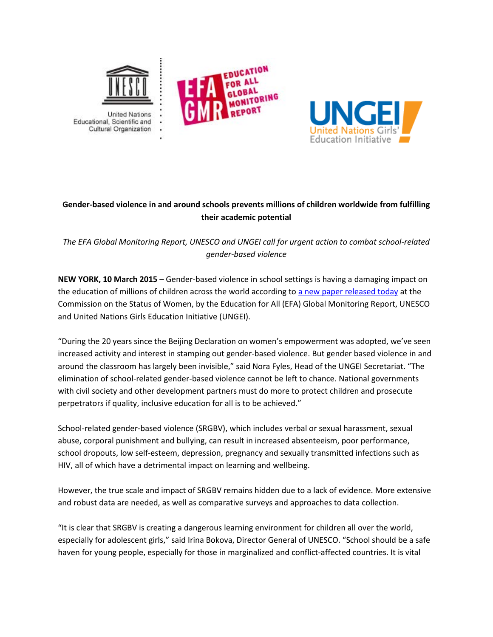



## **Gender-based violence in and around schools prevents millions of children worldwide from fulfilling their academic potential**

*The EFA Global Monitoring Report, UNESCO and UNGEI call for urgent action to combat school-related gender-based violence*

**NEW YORK, 10 March 2015** – Gender-based violence in school settings is having a damaging impact on the education of millions of children across the world according to [a new paper released today](http://unesdoc.unesco.org/images/0023/002321/232107E.pdf) at the Commission on the Status of Women, by the Education for All (EFA) Global Monitoring Report, UNESCO and United Nations Girls Education Initiative (UNGEI).

"During the 20 years since the Beijing Declaration on women's empowerment was adopted, we've seen increased activity and interest in stamping out gender-based violence. But gender based violence in and around the classroom has largely been invisible," said Nora Fyles, Head of the UNGEI Secretariat. "The elimination of school-related gender-based violence cannot be left to chance. National governments with civil society and other development partners must do more to protect children and prosecute perpetrators if quality, inclusive education for all is to be achieved."

School-related gender-based violence (SRGBV), which includes verbal or sexual harassment, sexual abuse, corporal punishment and bullying, can result in increased absenteeism, poor performance, school dropouts, low self-esteem, depression, pregnancy and sexually transmitted infections such as HIV, all of which have a detrimental impact on learning and wellbeing.

However, the true scale and impact of SRGBV remains hidden due to a lack of evidence. More extensive and robust data are needed, as well as comparative surveys and approaches to data collection.

"It is clear that SRGBV is creating a dangerous learning environment for children all over the world, especially for adolescent girls," said Irina Bokova, Director General of UNESCO. "School should be a safe haven for young people, especially for those in marginalized and conflict-affected countries. It is vital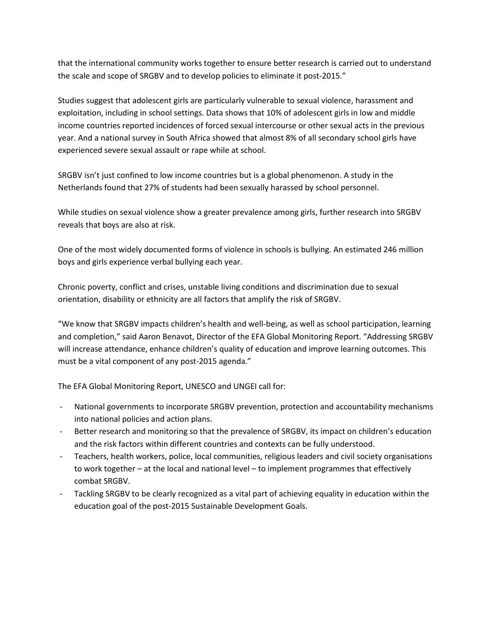that the international community works together to ensure better research is carried out to understand the scale and scope of SRGBV and to develop policies to eliminate it post-2015."

Studies suggest that adolescent girls are particularly vulnerable to sexual violence, harassment and exploitation, including in school settings. Data shows that 10% of adolescent girls in low and middle income countries reported incidences of forced sexual intercourse or other sexual acts in the previous year. And a national survey in South Africa showed that almost 8% of all secondary school girls have experienced severe sexual assault or rape while at school.

SRGBV isn't just confined to low income countries but is a global phenomenon. A study in the Netherlands found that 27% of students had been sexually harassed by school personnel.

While studies on sexual violence show a greater prevalence among girls, further research into SRGBV reveals that boys are also at risk.

One of the most widely documented forms of violence in schools is bullying. An estimated 246 million boys and girls experience verbal bullying each year.

Chronic poverty, conflict and crises, unstable living conditions and discrimination due to sexual orientation, disability or ethnicity are all factors that amplify the risk of SRGBV.

"We know that SRGBV impacts children's health and well-being, as well as school participation, learning and completion," said Aaron Benavot, Director of the EFA Global Monitoring Report. "Addressing SRGBV will increase attendance, enhance children's quality of education and improve learning outcomes. This must be a vital component of any post-2015 agenda."

The EFA Global Monitoring Report, UNESCO and UNGEI call for:

- National governments to incorporate SRGBV prevention, protection and accountability mechanisms into national policies and action plans.
- Better research and monitoring so that the prevalence of SRGBV, its impact on children's education and the risk factors within different countries and contexts can be fully understood.
- Teachers, health workers, police, local communities, religious leaders and civil society organisations to work together – at the local and national level – to implement programmes that effectively combat SRGBV.
- Tackling SRGBV to be clearly recognized as a vital part of achieving equality in education within the education goal of the post-2015 Sustainable Development Goals.